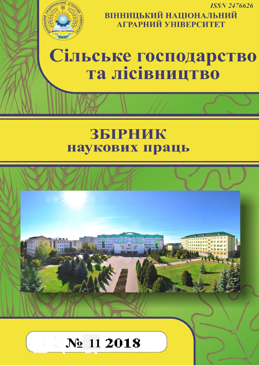

**ISSN 2476626 ВІННИЦЬКИЙ НАЦІОНАЛЬНИЙ**<br>АГРАРНИЙ УНІВЕРСИТЕТ

# Сільське господарство та лісівництво

# ЗБІРНИК наукових праць

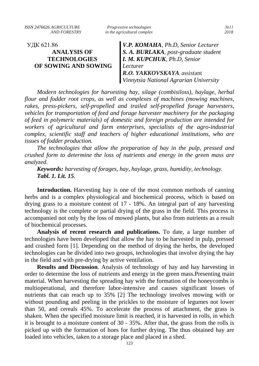УДК 621.86 **ANALYSIS OF TECHNOLOGIES OF SOWING AND SOWING**

*V.P. KOMAHA, Ph.D, Senior Lecturer S. A. BURLAKA, post-graduate student I. M. KUPCHUK, Ph.D, Senior Lecturer R.О. YAKKOVSKAYA*, assistant *Vinnytsia National Agrarian University*

*Modern technologies for harvesting hay, silage (combisiloss), haylage, herbal flour and fodder root crops, as well as complexes of machines (mowing machines, rakes, press-pickers, self-propelled and trailed self-propelled forage harvesters, vehicles for transportation of feed and forage harvester machinery for the packaging of feed in polymeric materials) of domestic and foreign production are intended for workers of agricultural and farm enterprises, specialists of the agro-industrial complex, scientific staff and teachers of higher educational institutions, who are issues of fodder production.*

*The technologies that allow the preparation of hay in the pulp, pressed and crushed form to determine the loss of nutrients and energy in the green mass are analyzed.*

*Keywords: harvesting of forages, hay, haylage, grass, humidity, technology. Tabl. 1. Lit. 15.*

**Introduction.** Harvesting hay is one of the most common methods of canning herbs and is a complex physiological and biochemical process, which is based on drying grass to a moisture content of 17 - 18%. An integral part of any harvesting technology is the complete or partial drying of the grass in the field. This process is accompanied not only by the loss of mowed plants, but also from nutrients as a result of biochemical processes.

**Analysis of recent research and publications.** To date, a large number of technologies have been developed that allow the hay to be harvested in pulp, pressed and crushed form [1]. Depending on the method of drying the herbs, the developed technologies can be divided into two groups, technologies that involve drying the hay in the field and with pre-drying by active ventilation.

**Results and Discussion**. Analysis of technology of hay and hay harvesting in order to determine the loss of nutrients and energy in the green mass.Presenting main material. When harvesting the spreading hay with the formation of the honeycombs is multioperational, and therefore labor-intensive and causes significant losses of nutrients that can reach up to 35% [2] The technology involves mowing with or without pounding and peeling in the prickles to the moisture of legumes not lower than 50, and cereals 45%. To accelerate the process of attachment, the grass is shaken. When the specified moisture limit is reached, it is harvested in rolls, in which it is brought to a moisture content of 30 - 35%. After that, the grass from the rolls is picked up with the formation of hoes for further drying. The thus obtained hay are loaded into vehicles, taken to a storage place and placed in a shed.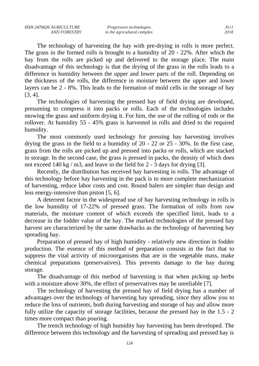The technology of harvesting the hay with pre-drying in rolls is more perfect. The grass in the formed rolls is brought to a humidity of 20 - 22%. After which the hay from the rolls are picked up and delivered to the storage place. The main disadvantage of this technology is that the drying of the grass in the rolls leads to a difference in humidity between the upper and lower parts of the roll. Depending on the thickness of the rolls, the difference in moisture between the upper and lower layers can be 2 - 8%. This leads to the formation of mold cells in the storage of hay [3, 4].

The technologies of harvesting the pressed hay of field drying are developed, presuming to compress it into packs or rolls. Each of the technologies includes mowing the grass and uniform drying it. For him, the use of the rolling of rods or the rollover. At humidity 55 - 45% grass is harvested in rolls and dried to the required humidity.

The most commonly used technology for pressing hay harvesting involves drying the grass in the field to a humidity of 20 - 22 or 25 - 30%. In the first case, grass from the rolls are picked up and pressed into packs or rolls, which are stacked in storage. In the second case, the grass is pressed in packs, the density of which does not exceed 140 kg / m3, and leave in the field for 2 - 3 days for drying [3].

Recently, the distribution has received hay harvesting in rolls. The advantage of this technology before hay harvesting in the pack is to more complete mechanization of harvesting, reduce labor costs and cost. Round balers are simpler than design and less energy-intensive than piston [5, 6].

A deterrent factor in the widespread use of hay harvesting technology in rolls is the low humidity of 17-22% of pressed grass. The formation of rolls from raw materials, the moisture content of which exceeds the specified limit, leads to a decrease in the fodder value of the hay. The marked technologies of the pressed hay harvest are characterized by the same drawbacks as the technology of harvesting hay spreading hay.

Preparation of pressed hay of high humidity - relatively new direction in fodder production. The essence of this method of preparation consists in the fact that to suppress the vital activity of microorganisms that are in the vegetable mass, make chemical preparations (preservatives). This prevents damage to the hay during storage.

The disadvantage of this method of harvesting is that when picking up herbs with a moisture above 30%, the effect of preservatives may be unreliable [7].

The technology of harvesting the pressed hay of field drying has a number of advantages over the technology of harvesting hay spreading, since they allow you to reduce the loss of nutrients, both during harvesting and storage of hay and allow more fully utilize the capacity of storage facilities, because the pressed hay in the 1.5 - 2 times more compact than pouring.

The trench technology of high humidity hay harvesting has been developed. The difference between this technology and the harvesting of spreading and pressed hay is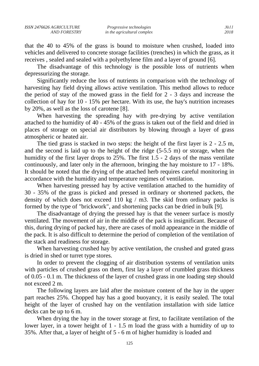that the 40 to 45% of the grass is bound to moisture when crushed, loaded into vehicles and delivered to concrete storage facilities (trenches) in which the grass, as it receives , sealed and sealed with a polyethylene film and a layer of ground [6].

The disadvantage of this technology is the possible loss of nutrients when depressurizing the storage.

Significantly reduce the loss of nutrients in comparison with the technology of harvesting hay field drying allows active ventilation. This method allows to reduce the period of stay of the mowed grass in the field for 2 - 3 days and increase the collection of hay for 10 - 15% per hectare. With its use, the hay's nutrition increases by 20%, as well as the loss of carotene [8].

When harvesting the spreading hay with pre-drying by active ventilation attached to the humidity of 40 - 45% of the grass is taken out of the field and dried in places of storage on special air distributors by blowing through a layer of grass atmospheric or heated air.

The tied grass is stacked in two steps: the height of the first layer is 2 - 2.5 m, and the second is laid up to the height of the ridge (5-5.5 m) or storage, when the humidity of the first layer drops to 25%. The first 1.5 - 2 days of the mass ventilate continuously, and later only in the afternoon, bringing the hay moisture to 17 - 18%. It should be noted that the drying of the attached herb requires careful monitoring in accordance with the humidity and temperature regimes of ventilation.

When harvesting pressed hay by active ventilation attached to the humidity of 30 - 35% of the grass is picked and pressed in ordinary or shortened packets, the density of which does not exceed 110 kg / m3. The skid from ordinary packs is formed by the type of "brickwork", and shortening packs can be dried in bulk [9].

The disadvantage of drying the pressed hay is that the veneer surface is mostly ventilated. The movement of air in the middle of the pack is insignificant. Because of this, during drying of packed hay, there are cases of mold appearance in the middle of the pack. It is also difficult to determine the period of completion of the ventilation of the stack and readiness for storage.

When harvesting crushed hay by active ventilation, the crushed and grated grass is dried in shed or turret type stores.

In order to prevent the clogging of air distribution systems of ventilation units with particles of crushed grass on them, first lay a layer of crumbled grass thickness of 0.05 - 0.1 m. The thickness of the layer of crushed grass in one loading step should not exceed 2 m.

The following layers are laid after the moisture content of the hay in the upper part reaches 25%. Chopped hay has a good buoyancy, it is easily sealed. The total height of the layer of crushed hay on the ventilation installation with side lattice decks can be up to 6 m.

When drying the hay in the tower storage at first, to facilitate ventilation of the lower layer, in a tower height of 1 - 1.5 m load the grass with a humidity of up to 35%. After that, a layer of height of 5 - 6 m of higher humidity is loaded and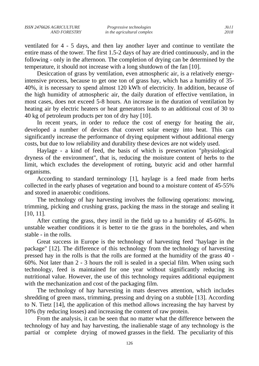ventilated for 4 - 5 days, and then lay another layer and continue to ventilate the entire mass of the tower. The first 1.5-2 days of hay are dried continuously, and in the following - only in the afternoon. The completion of drying can be determined by the temperature, it should not increase with a long shutdown of the fan [10].

Desiccation of grass by ventilation, even atmospheric air, is a relatively energyintensive process, because to get one ton of grass hay, which has a humidity of 35- 40%, it is necessary to spend almost 120 kWh of electricity. In addition, because of the high humidity of atmospheric air, the daily duration of effective ventilation, in most cases, does not exceed 5-8 hours. An increase in the duration of ventilation by heating air by electric heaters or heat generators leads to an additional cost of 30 to 40 kg of petroleum products per ton of dry hay [10].

In recent years, in order to reduce the cost of energy for heating the air, developed a number of devices that convert solar energy into heat. This can significantly increase the performance of drying equipment without additional energy costs, but due to low reliability and durability these devices are not widely used.

Haylage - a kind of feed, the basis of which is preservation "physiological dryness of the environment", that is, reducing the moisture content of herbs to the limit, which excludes the development of rotting, butyric acid and other harmful organisms.

According to standard terminology [1], haylage is a feed made from herbs collected in the early phases of vegetation and bound to a moisture content of 45-55% and stored in anaerobic conditions.

The technology of hay harvesting involves the following operations: mowing, trimming, picking and crushing grass, packing the mass in the storage and sealing it [10, 11].

After cutting the grass, they instil in the field up to a humidity of 45-60%. In unstable weather conditions it is better to tie the grass in the boreholes, and when stable - in the rolls.

Great success in Europe is the technology of harvesting feed "haylage in the package" [12]. The difference of this technology from the technology of harvesting pressed hay in the rolls is that the rolls are formed at the humidity of the grass 40 - 60%. Not later than 2 - 3 hours the roll is sealed in a special film. When using such technology, feed is maintained for one year without significantly reducing its nutritional value. However, the use of this technology requires additional equipment with the mechanization and cost of the packaging film.

The technology of hay harvesting in mats deserves attention, which includes shredding of green mass, trimming, pressing and drying on a stubble [13]. According to N. Tietz [14], the application of this method allows increasing the hay harvest by 10% (by reducing losses) and increasing the content of raw protein.

From the analysis, it can be seen that no matter what the difference between the technology of hay and hay harvesting, the inalienable stage of any technology is the partial or complete drying of mowed grasses in the field. The peculiarity of this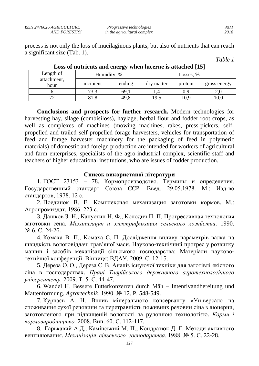| ISSN 2476626 AGRICULTURE | <i>Progressive technologies</i> | No 11 |
|--------------------------|---------------------------------|-------|
| AND FORESTRY             | in the agricultural complex     | 2018  |

process is not only the loss of mucilaginous plants, but also of nutrients that can reach a significant size (Tab. 1).

| l'able |  |
|--------|--|
|--------|--|

| Length of<br>attachment,<br>hour | $-$<br>Humidity, % |        | Losses, %  |         |              |
|----------------------------------|--------------------|--------|------------|---------|--------------|
|                                  | incipient          | ending | dry matter | protein | gross energy |
|                                  | 73,3               | 69,1   | 1.4        | 0,9     | 2,0          |
| $7^\circ$                        | 81,8               | 49,8   | 19,5       | 10,9    | 10,0         |

**Loss of nutrients and energy when lucerne is attached [15**]

**Conclusions and prospects for further research.** Modern technologies for harvesting hay, silage (combisiloss), haylage, herbal flour and fodder root crops, as well as complexes of machines (mowing machines, rakes, press-pickers, selfpropelled and trailed self-propelled forage harvesters, vehicles for transportation of feed and forage harvester machinery for the packaging of feed in polymeric materials) of domestic and foreign production are intended for workers of agricultural and farm enterprises, specialists of the agro-industrial complex, scientific staff and teachers of higher educational institutions, who are issues of fodder production.

#### **Список використаної літератури**

1. ГОСТ 23153 – 78. Кормопроизводство. Термины и определения. Государственный стандарт Союза ССР. Введ. 29.05.1978. М.: Изд-во стандартов, 1978. 12 с.

2. Поединок В. Е. Комплексная механизация заготовки кормов. М.: Агропромиздат, 1986. 223 с.

3. Дашков З. Н., Капустин Н. Ф., Колодич П. П. Прогрессивная технология заготовки сена. *Механизация и электрификация сельского хозяйства*. 1990. № 6. С. 24-26.

4. Комаха В. П., Комаха С. П. Дослідження впливу параметрів валка на швидкість вологовіддачі трав'яної маси. Науково-технічний прогрес у розвитку машин і засобів механізації сільського господарства: Матеріали науковотехнічної конференції. Вінниця: ВДАУ. 2009. С. 12-15.

5. Дереза О. О., Дереза С. В. Аналіз існуючої техніки для заготівлі якісного сіна в господарствах. *Праці Таврійського державного агротехнологічного університету.* 2009. Т. 5. С. 44-47.

6. Wandel H. Bessere Futterkonzerren durch Măh – Intenrivandbereitung und Mattenformung. *Agrartechnik*. 1990. № 12. P. 548-549.

7. Курнаєв А. Н. Вплив мінерального консерванту «Універсал» на споживання сухої речовини та перетравність поживних речовин сіна з люцерни, заготовленого при підвищеній вологості за рулонною технологією. *Корми і кормовиробництво.* 2008. Вип. 60. С. 112-117.

8. Гарькавий А.Д., Камінський М. П., Кондратюк Д. Г. Методи активного вентилювання. *Механізація сільського господарства*. 1988. № 5. С. 22-28.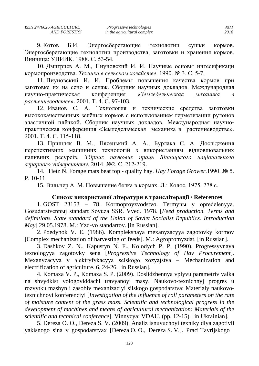9. KOTOB Б.И. Энергосберегающие технологии сушки кормов. Энергосберегающие технологии производства, заготовки и хранения кормов. Винница: УНИИК. 1988. С. 53-54.

10. Дмитриев А. М., Пиуновский И. И. Научные основы интесификаци кормопроизводства. Техника в сельском хозяйстве. 1990. № 3. С. 5-7.

11. Пиуновский И. И. Проблемы повышения качества кормов при заготовке их на сено и сенаж. Сборник научных докладов. Международная «Земледельческая научно-практическая конференция механика  $\mathcal{R}$ растениеводстве». 2001. Т. 4. С. 97-103.

12. Иванов С. А. Технология и технические средства заготовки высококачественных зелёных кормов с использованием герметизации рулонов эластичной плёнкой. Сборник научных докладов. Международная научнопрактическая конференция «Земледельческая механика в растениеводстве». 2001. T. 4. C. 115-118.

13. Пришляк В. М., Пясецький А. А., Бурлака С. А. Дослідження перспективних машинних технологій з використанням відновлювальних паливних ресурсів. Збірник наукових праць Вінницького національного аграрного університету. 2014. №2. С. 212-219.

14. Tietz N. Forage mats beat top - quality hay. Hay Forage Grower.1990. № 5.  $P. 10-11.$ 

15. Вильнер А. М. Повышение белка в кормах. Л.: Колос. 1975. 278 с.

#### Список використаної літератури в транслітерації / References

1. GOST 23153 – 78. Kormoproyzvodstvo. Тегтупы у opredelenyya. Gosudarstvennыj standart Soyuza SSR. Vved. 1978. [Feed production. Terms and definitions. State standard of the Union of Soviet Socialist Republics. Introduction  $May$ ] 29.05.1978. M.: Yzd-vo standartov. [in Russian].

2. Poedynok V. E. (1986). Kompleksnaya mexanyzacyya zagotovky kormov [Complex mechanization of harvesting of feeds]. M.: Agropromyzdat. [in Russian].

3. Dashkov Z. N., Kapustyn N. F., Kolodych P. P. (1990). Progressyvnaya texnologyya zagotovky sena [Progressive Technology of Hay Procurement]. Mexanyzacyya y alektryfykacyya selskogo xozyajstva – Mechanization and electrification of agriculture. 6, 24-26. [in Russian].

4. Komaxa V. P., Komaxa S. P. (2009). Doslidzhennya vplyvu parametriy valka na shvydkist vologoviddachi travyanovi masy. Naukovo-texnichnyj progres u rozvytku mashyn i zasobiv mexanizaciyi silskogo gospodarstva: Materialy naukovotexnichnoyi konferenciyi [*Investigation of the influence of roll parameters on the rate* of moisture content of the grass mass. Scientific and technological progress in the development of machines and means of agricultural mechanization: Materials of the scientific and technical conferencel. Vinnycya: VDAU. (pp. 12-15). [in Ukrainian].

5. Dereza O. O., Dereza S. V. (2009). Analiz isnuvuchovi texniky dlya zagotivli vakisnogo sina v gospodarstvax [Dereza O. O., Dereza S. V.]. Praci Tavrijskogo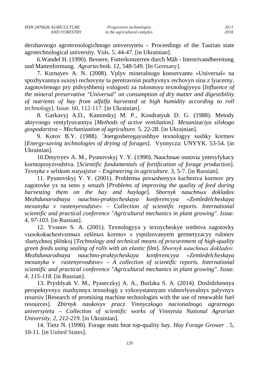derzhavnogo agrotexnologichnogo universytetu – Proceedings of the Taurian state agrotechnological university. Vols. 5. 44-47. [in Ukrainian].

6.Wandel H. (1990). Bessere, Futterkonzerren durch Mäh - Intenrivandbereitung und Mattenformung. *Agrartechnik.* 12, 548-549. [In Germany].

7. Kurnayev A. N. (2008). Vplyv mineralnogo konservantu «Universal» na spozhyvannya suxoyi rechovyny ta peretravnist pozhyvnyx rechovyn sina z lyucerny, zagotovlenogo pry pidvyshhenij vologosti za rulonnoyu texnologiyeyu [*Influence of the mineral preservative "Universal" on consumption of dry matter and digestibility of nutrients of hay from alfalfa harvested at high humidity according to roll technology*]. Issue. 60, 112-117. [in Ukrainian].

8. Garkavyj A.D., Kaminskyj M. P., Kondratyuk D. G. (1988). Metody aktyvnogo ventylyuvannya [*Methods of active ventilation]. Mexanizaciya silskogo gospodarstva – Mechanization of agriculture.* 5. 22-28. [in Ukrainian].

9. Kotov B.Y. (1988). Эnergosberegayushhye texnologyy sushky kormov [*Energy-saving technologies of drying of forages*]. Vynnycza: UNYYK. 53-54. [in Ukrainian].

10.Dmytryev A. M., Pyunovskyj Y. Y. (1990). Nauchnыe osnovы yntesyfykacy kormoproyzvodstva. [*Scientific fundamentals of fortification of forage production*]. *Texnyka v selskom xozyajstve – Engineering in agriculture*. 3, 5-7. [in Russian].

11. Pyunovskyj Y. Y. (2001). Problemы povыshenyya kachestva kormov pry zagotovke yx na seno y senazh [*Problems of improving the quality of feed during harvesting them on the hay and haylage*]. *Sbornyk nauchnыx dokladov Mezhdunarodnaya nauchno-praktycheskaya konferencyya «Zemledelcheskaya mexanyka v rastenyevodstve» – Collection of scientific reports. International scientific and practical conference "Agricultural mechanics in plant growing". Issue. 4, 97-103.* [in Russian].

12. Yvanov S. A. (2001). Texnologyya y texnycheskye sredstva zagotovky vыsokokachestvennыx zelёnыx kormov s yspolzovanyem germetyzacyy rulonov эlastychnoj plёnkoj [*Technology and technical means of procurement of high-quality green feeds using sealing of rolls with an elastic film*]. *Sbornyk nauchnыx dokladov. Mezhdunarodnaya nauchno-praktycheskaya konferencyya «Zemledelcheskaya mexanyka v rastenyevodstve» – A collection of scientific reports. International scientific and practical conference "Agricultural mechanics in plant growing". Issue. 4, 115-118.* [in Russian].

13. Pryshlyak V. M., Pyaseczkyj A. A., Burlaka S. A. (2014). Doslidzhennya perspektyvnyx mashynnyx texnologij z vykorystannyam vidnovlyuvalnyx palyvnyx resursiv [Research of promising machine technologies with the use of renewable fuel resources]. *Zbirnyk naukovyx pracz Vinnyczkogo nacionalnogo agrarnogo universytetu – Collection of scientific works of Vinnytsia National Agrarian University. 2, 212-219.* [in Ukrainian].

14. Tietz N. (1990). Forage mats beat top-quality hay. *Hay Forage Grower* . 5, 10-11. [in United States].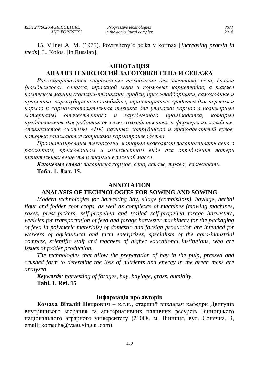15. Vilner A. M. (1975). Povыsheny`e belka v kormax [*Increasing protein in feeds*]. L. Kolos. [in Russian].

#### **АННОТАЦИЯ**

## **АНАЛИЗ ТЕХНОЛОГИЙ ЗАГОТОВКИ СЕНА И СЕНАЖА**

*Рассматриваются современные технологии для заготовки сена, силоса (комбисилоса), сенажа, травяной муки и кормовых корнеплодов, а также комплексы машин (косилки-плющилки, грабли, пресс-подборщики, самоходные и прицепные кормоуборочные комбайны, транспортные средства для перевозки кормов и кормозаготовительная техника для упаковки кормов в полимерные материалы) отечественного и зарубежного производства, которые предназначены для работников сельскохозяйственных и фермерских хозяйств, специалистов системы АПК, научных сотрудников и преподавателей вузов, которые занимаются вопросами кормопроизводства.*

*Проанализированы технологии, которые позволяют заготавливать сено в рассыпном, прессованном и измельченном виде для определения потерь питательных веществ и энергии в зеленой массе.*

*Ключевые слова: заготовка кормов, сено, сенаж, трава, влажность.* **Табл. 1. Лит. 15.**

#### **ANNOTATION**

### **ANALYSIS OF TECHNOLOGIES FOR SOWING AND SOWING**

*Modern technologies for harvesting hay, silage (combisiloss), haylage, herbal flour and fodder root crops, as well as complexes of machines (mowing machines, rakes, press-pickers, self-propelled and trailed self-propelled forage harvesters, vehicles for transportation of feed and forage harvester machinery for the packaging of feed in polymeric materials) of domestic and foreign production are intended for workers of agricultural and farm enterprises, specialists of the agro-industrial complex, scientific staff and teachers of higher educational institutions, who are issues of fodder production.*

*The technologies that allow the preparation of hay in the pulp, pressed and crushed form to determine the loss of nutrients and energy in the green mass are analyzed.*

*Keywords: harvesting of forages, hay, haylage, grass, humidity.* **Tabl. 1. Ref. 15**

#### **Інформація про авторів**

**Комаха Віталій Петрович –** к.т.н., старший викладач кафедри Двигунів внутрішнього згорання та альтернативних паливних ресурсів Вінницького національного аграрного університету (21008, м. Вінниця, вул. Сонячна, 3, email: [komacha@vsau.vin.ua](http://socrates.vsau.org/departs/index.php?id=180&t_id=202&mode=teacher) .com).